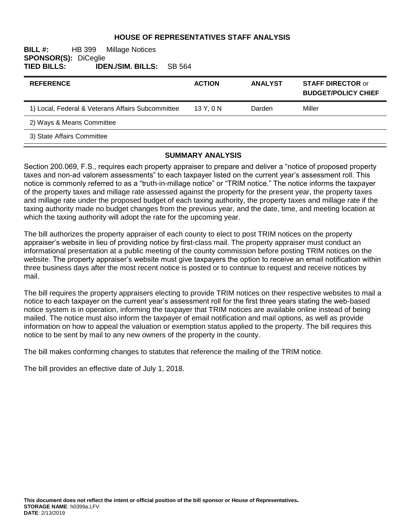### **HOUSE OF REPRESENTATIVES STAFF ANALYSIS**

**BILL #:** HB 399 Millage Notices **SPONSOR(S): DiCeglie<br>TIED BILLS: IDE TIED BILLS: IDEN./SIM. BILLS:** SB 564

| <b>REFERENCE</b>                                  | <b>ACTION</b> | <b>ANALYST</b> | <b>STAFF DIRECTOR or</b><br><b>BUDGET/POLICY CHIEF</b> |
|---------------------------------------------------|---------------|----------------|--------------------------------------------------------|
| 1) Local, Federal & Veterans Affairs Subcommittee | 13Y.0N        | Darden         | Miller                                                 |
| 2) Ways & Means Committee                         |               |                |                                                        |
| 3) State Affairs Committee                        |               |                |                                                        |

#### **SUMMARY ANALYSIS**

Section 200.069, F.S., requires each property appraiser to prepare and deliver a "notice of proposed property taxes and non-ad valorem assessments" to each taxpayer listed on the current year's assessment roll. This notice is commonly referred to as a "truth-in-millage notice" or "TRIM notice." The notice informs the taxpayer of the property taxes and millage rate assessed against the property for the present year, the property taxes and millage rate under the proposed budget of each taxing authority, the property taxes and millage rate if the taxing authority made no budget changes from the previous year, and the date, time, and meeting location at which the taxing authority will adopt the rate for the upcoming year.

The bill authorizes the property appraiser of each county to elect to post TRIM notices on the property appraiser's website in lieu of providing notice by first-class mail. The property appraiser must conduct an informational presentation at a public meeting of the county commission before posting TRIM notices on the website. The property appraiser's website must give taxpayers the option to receive an email notification within three business days after the most recent notice is posted or to continue to request and receive notices by mail.

The bill requires the property appraisers electing to provide TRIM notices on their respective websites to mail a notice to each taxpayer on the current year's assessment roll for the first three years stating the web-based notice system is in operation, informing the taxpayer that TRIM notices are available online instead of being mailed. The notice must also inform the taxpayer of email notification and mail options, as well as provide information on how to appeal the valuation or exemption status applied to the property. The bill requires this notice to be sent by mail to any new owners of the property in the county.

The bill makes conforming changes to statutes that reference the mailing of the TRIM notice.

The bill provides an effective date of July 1, 2018.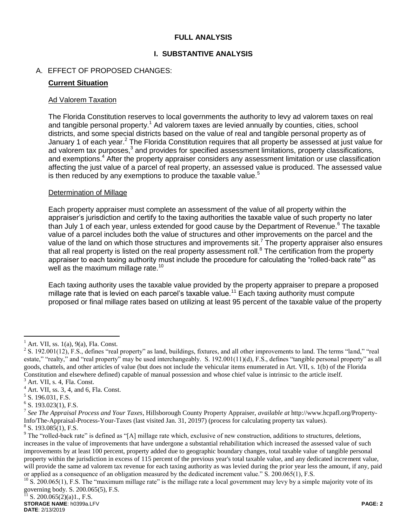# **FULL ANALYSIS**

# **I. SUBSTANTIVE ANALYSIS**

# A. EFFECT OF PROPOSED CHANGES:

## **Current Situation**

#### Ad Valorem Taxation

The Florida Constitution reserves to local governments the authority to levy ad valorem taxes on real and tangible personal property.<sup>1</sup> Ad valorem taxes are levied annually by counties, cities, school districts, and some special districts based on the value of real and tangible personal property as of January 1 of each year.<sup>2</sup> The Florida Constitution requires that all property be assessed at just value for ad valorem tax purposes, $3$  and provides for specified assessment limitations, property classifications, and exemptions.<sup>4</sup> After the property appraiser considers any assessment limitation or use classification affecting the just value of a parcel of real property, an assessed value is produced. The assessed value is then reduced by any exemptions to produce the taxable value.<sup>5</sup>

### Determination of Millage

Each property appraiser must complete an assessment of the value of all property within the appraiser's jurisdiction and certify to the taxing authorities the taxable value of such property no later than July 1 of each year, unless extended for good cause by the Department of Revenue.<sup>6</sup> The taxable value of a parcel includes both the value of structures and other improvements on the parcel and the value of the land on which those structures and improvements sit.<sup>7</sup> The property appraiser also ensures that all real property is listed on the real property assessment roll.<sup>8</sup> The certification from the property appraiser to each taxing authority must include the procedure for calculating the "rolled-back rate"<sup>9</sup> as well as the maximum millage rate.<sup>10</sup>

Each taxing authority uses the taxable value provided by the property appraiser to prepare a proposed millage rate that is levied on each parcel's taxable value.<sup>11</sup> Each taxing authority must compute proposed or final millage rates based on utilizing at least 95 percent of the taxable value of the property

 $\overline{a}$ 

Art. VII, ss. 1(a), 9(a), Fla. Const.

 $2^2$  S. 192.001(12), F.S., defines "real property" as land, buildings, fixtures, and all other improvements to land. The terms "land," "real estate," "realty," and "real property" may be used interchangeably. S. 192.001(11)(d), F.S., defines "tangible personal property" as all goods, chattels, and other articles of value (but does not include the vehicular items enumerated in Art. VII, s. 1(b) of the Florida Constitution and elsewhere defined) capable of manual possession and whose chief value is intrinsic to the article itself.

 $3$  Art. VII, s. 4, Fla. Const.

 $4 \text{ Art. VII, ss. } 3, 4, \text{ and } 6, \text{ Fla. Const.}$ 

<sup>&</sup>lt;sup>5</sup> S. 196.031, F.S.

 $6$  S. 193.023(1), F.S.

<sup>7</sup> *See The Appraisal Process and Your Taxes*, Hillsborough County Property Appraiser, *available at* http://www.hcpafl.org/Property-Info/The-Appraisal-Process-Your-Taxes (last visited Jan. 31, 20197) (process for calculating property tax values).

 $8$  S. 193.085(1), F.S.

 $9$  The "rolled-back rate" is defined as "[A] millage rate which, exclusive of new construction, additions to structures, deletions, increases in the value of improvements that have undergone a substantial rehabilitation which increased the assessed value of such improvements by at least 100 percent, property added due to geographic boundary changes, total taxable value of tangible personal property within the jurisdiction in excess of 115 percent of the previous year's total taxable value, and any dedicated increment value, will provide the same ad valorem tax revenue for each taxing authority as was levied during the prior year less the amount, if any, paid or applied as a consequence of an obligation measured by the dedicated increment value." S. 200.065(1), F.S.

 $10\text{ S}$ . 200.065(1), F.S. The "maximum millage rate" is the millage rate a local government may levy by a simple majority vote of its governing body. S. 200.065(5), F.S.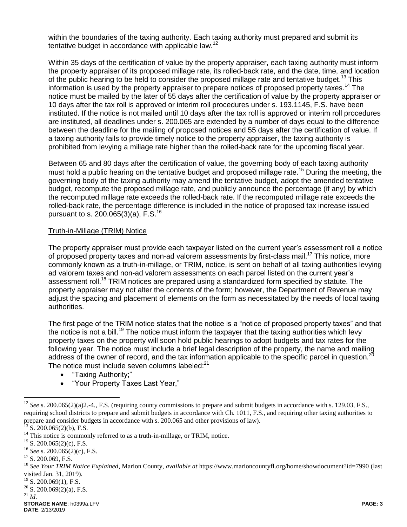within the boundaries of the taxing authority. Each taxing authority must prepared and submit its tentative budget in accordance with applicable law.<sup>12</sup>

Within 35 days of the certification of value by the property appraiser, each taxing authority must inform the property appraiser of its proposed millage rate, its rolled-back rate, and the date, time, and location of the public hearing to be held to consider the proposed millage rate and tentative budget.<sup>13</sup> This information is used by the property appraiser to prepare notices of proposed property taxes.<sup>14</sup> The notice must be mailed by the later of 55 days after the certification of value by the property appraiser or 10 days after the tax roll is approved or interim roll procedures under s. 193.1145, F.S. have been instituted. If the notice is not mailed until 10 days after the tax roll is approved or interim roll procedures are instituted, all deadlines under s. 200.065 are extended by a number of days equal to the difference between the deadline for the mailing of proposed notices and 55 days after the certification of value. If a taxing authority fails to provide timely notice to the property appraiser, the taxing authority is prohibited from levying a millage rate higher than the rolled-back rate for the upcoming fiscal year.

Between 65 and 80 days after the certification of value, the governing body of each taxing authority must hold a public hearing on the tentative budget and proposed millage rate.<sup>15</sup> During the meeting, the governing body of the taxing authority may amend the tentative budget, adopt the amended tentative budget, recompute the proposed millage rate, and publicly announce the percentage (if any) by which the recomputed millage rate exceeds the rolled-back rate. If the recomputed millage rate exceeds the rolled-back rate, the percentage difference is included in the notice of proposed tax increase issued pursuant to s. 200.065(3)(a), F.S.<sup>16</sup>

#### Truth-in-Millage (TRIM) Notice

The property appraiser must provide each taxpayer listed on the current year's assessment roll a notice of proposed property taxes and non-ad valorem assessments by first-class mail.<sup>17</sup> This notice, more commonly known as a truth-in-millage, or TRIM, notice, is sent on behalf of all taxing authorities levying ad valorem taxes and non-ad valorem assessments on each parcel listed on the current year's assessment roll.<sup>18</sup> TRIM notices are prepared using a standardized form specified by statute. The property appraiser may not alter the contents of the form; however, the Department of Revenue may adjust the spacing and placement of elements on the form as necessitated by the needs of local taxing authorities.

The first page of the TRIM notice states that the notice is a "notice of proposed property taxes" and that the notice is not a bill.<sup>19</sup> The notice must inform the taxpayer that the taxing authorities which levy property taxes on the property will soon hold public hearings to adopt budgets and tax rates for the following year. The notice must include a brief legal description of the property, the name and mailing address of the owner of record, and the tax information applicable to the specific parcel in question.<sup>20</sup> The notice must include seven columns labeled: $21$ 

- "Taxing Authority;"
- "Your Property Taxes Last Year,"

 $\overline{a}$ 

<sup>&</sup>lt;sup>12</sup> *See* s. 200.065(2)(a)2.-4., F.S. (requiring county commissions to prepare and submit budgets in accordance with s. 129.03, F.S., requiring school districts to prepare and submit budgets in accordance with Ch. 1011, F.S., and requiring other taxing authorities to prepare and consider budgets in accordance with s. 200.065 and other provisions of law).

 $^{13}$  S. 200.065(2)(b), F.S.

<sup>&</sup>lt;sup>14</sup> This notice is commonly referred to as a truth-in-millage, or TRIM, notice.

 $15$  S. 200.065(2)(c), F.S.

<sup>16</sup> *See* s. 200.065(2)(c), F.S.

<sup>&</sup>lt;sup>17</sup> S. 200.069, F.S.

<sup>18</sup> *See Your TRIM Notice Explained*, Marion County, *available at* https://www.marioncountyfl.org/home/showdocument?id=7990 (last visited Jan. 31, 2019).

<sup>&</sup>lt;sup>19</sup> S. 200.069(1), F.S.

 $20$  S. 200.069(2)(a), F.S.

<sup>21</sup> *Id*.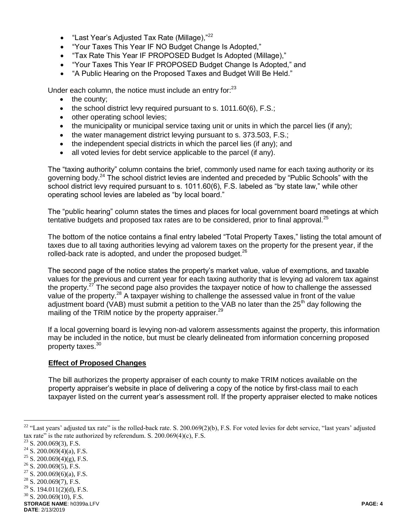- "Last Year's Adiusted Tax Rate (Millage). $"^{22}$
- "Your Taxes This Year IF NO Budget Change Is Adopted,"
- "Tax Rate This Year IF PROPOSED Budget Is Adopted (Millage),"
- "Your Taxes This Year IF PROPOSED Budget Change Is Adopted," and
- "A Public Hearing on the Proposed Taxes and Budget Will Be Held."

Under each column, the notice must include an entry for:<sup>23</sup>

- $\bullet$  the county;
- $\bullet$  the school district levy required pursuant to s. 1011.60(6), F.S.;
- other operating school levies;
- $\bullet$  the municipality or municipal service taxing unit or units in which the parcel lies (if any);
- the water management district levying pursuant to s. 373.503, F.S.;
- the independent special districts in which the parcel lies (if any); and
- all voted levies for debt service applicable to the parcel (if any).

The "taxing authority" column contains the brief, commonly used name for each taxing authority or its governing body.<sup>24</sup> The school district levies are indented and preceded by "Public Schools" with the school district levy required pursuant to s. 1011.60(6), F.S. labeled as "by state law," while other operating school levies are labeled as "by local board."

The "public hearing" column states the times and places for local government board meetings at which tentative budgets and proposed tax rates are to be considered, prior to final approval.<sup>25</sup>

The bottom of the notice contains a final entry labeled "Total Property Taxes," listing the total amount of taxes due to all taxing authorities levying ad valorem taxes on the property for the present year, if the rolled-back rate is adopted, and under the proposed budget.<sup>26</sup>

The second page of the notice states the property's market value, value of exemptions, and taxable values for the previous and current year for each taxing authority that is levying ad valorem tax against the property.<sup>27</sup> The second page also provides the taxpayer notice of how to challenge the assessed value of the property.<sup>28</sup> A taxpayer wishing to challenge the assessed value in front of the value adjustment board (VAB) must submit a petition to the VAB no later than the  $25<sup>th</sup>$  day following the mailing of the TRIM notice by the property appraiser.<sup>29</sup>

If a local governing board is levying non-ad valorem assessments against the property, this information may be included in the notice, but must be clearly delineated from information concerning proposed property taxes.<sup>30</sup>

# **Effect of Proposed Changes**

The bill authorizes the property appraiser of each county to make TRIM notices available on the property appraiser's website in place of delivering a copy of the notice by first-class mail to each taxpayer listed on the current year's assessment roll. If the property appraiser elected to make notices

 $\overline{a}$ 

- $28$  S. 200.069(7), F.S.
- $29$  S. 194.011(2)(d), F.S.

**STORAGE NAME**: h0399a.LFV **PAGE: 4**  $30$  S. 200.069(10), F.S.

**DATE**: 2/13/2019

<sup>&</sup>lt;sup>22</sup> "Last years' adjusted tax rate" is the rolled-back rate. S. 200.069(2)(b), F.S. For voted levies for debt service, "last years' adjusted tax rate" is the rate authorized by referendum. S.  $200.069(4)(c)$ , F.S.

 $23$  S. 200.069(3), F.S.

 $24$  S. 200.069(4)(a), F.S.

 $25$  S. 200.069(4)(g), F.S.

 $26$  S. 200.069(5), F.S.

 $27$  S. 200.069(6)(a), F.S.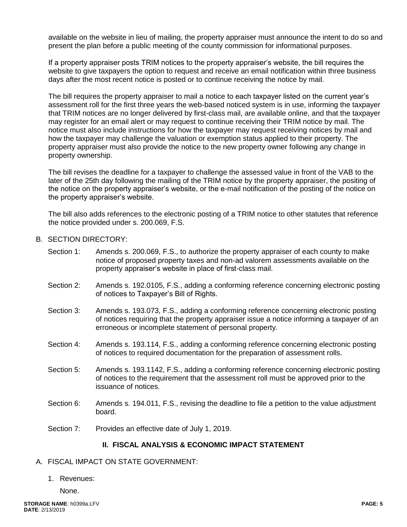available on the website in lieu of mailing, the property appraiser must announce the intent to do so and present the plan before a public meeting of the county commission for informational purposes.

If a property appraiser posts TRIM notices to the property appraiser's website, the bill requires the website to give taxpayers the option to request and receive an email notification within three business days after the most recent notice is posted or to continue receiving the notice by mail.

The bill requires the property appraiser to mail a notice to each taxpayer listed on the current year's assessment roll for the first three years the web-based noticed system is in use, informing the taxpayer that TRIM notices are no longer delivered by first-class mail, are available online, and that the taxpayer may register for an email alert or may request to continue receiving their TRIM notice by mail. The notice must also include instructions for how the taxpayer may request receiving notices by mail and how the taxpayer may challenge the valuation or exemption status applied to their property. The property appraiser must also provide the notice to the new property owner following any change in property ownership.

The bill revises the deadline for a taxpayer to challenge the assessed value in front of the VAB to the later of the 25th day following the mailing of the TRIM notice by the property appraiser, the positing of the notice on the property appraiser's website, or the e-mail notification of the posting of the notice on the property appraiser's website.

The bill also adds references to the electronic posting of a TRIM notice to other statutes that reference the notice provided under s. 200.069, F.S.

# B. SECTION DIRECTORY:

- Section 1: Amends s. 200.069, F.S., to authorize the property appraiser of each county to make notice of proposed property taxes and non-ad valorem assessments available on the property appraiser's website in place of first-class mail.
- Section 2: Amends s. 192.0105, F.S., adding a conforming reference concerning electronic posting of notices to Taxpayer's Bill of Rights.
- Section 3: Amends s. 193.073, F.S., adding a conforming reference concerning electronic posting of notices requiring that the property appraiser issue a notice informing a taxpayer of an erroneous or incomplete statement of personal property.
- Section 4: Amends s. 193.114, F.S., adding a conforming reference concerning electronic posting of notices to required documentation for the preparation of assessment rolls.
- Section 5: Amends s. 193.1142, F.S., adding a conforming reference concerning electronic posting of notices to the requirement that the assessment roll must be approved prior to the issuance of notices.
- Section 6: Amends s. 194.011, F.S., revising the deadline to file a petition to the value adjustment board.
- Section 7: Provides an effective date of July 1, 2019.

#### **II. FISCAL ANALYSIS & ECONOMIC IMPACT STATEMENT**

#### A. FISCAL IMPACT ON STATE GOVERNMENT:

1. Revenues:

None.